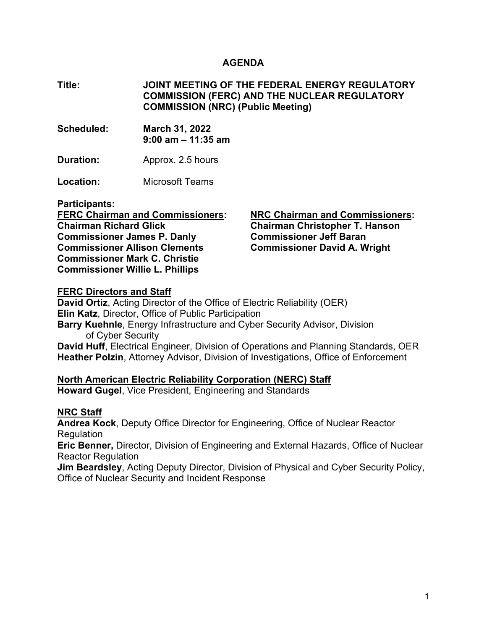#### **AGENDA**

**Title: JOINT MEETING OF THE FEDERAL ENERGY REGULATORY COMMISSION (FERC) AND THE NUCLEAR REGULATORY COMMISSION (NRC) (Public Meeting)** 

**Scheduled: March 31, 2022 9:00 am – 11:35 am** 

**Duration:** Approx. 2.5 hours

**Location:** Microsoft Teams

**Participants:** 

**FERC Chairman and Commissioners: Chairman Richard Glick Commissioner James P. Danly Commissioner Allison Clements Commissioner Mark C. Christie Commissioner Willie L. Phillips** 

**NRC Chairman and Commissioners: Chairman Christopher T. Hanson Commissioner Jeff Baran Commissioner David A. Wright** 

#### **FERC Directors and Staff**

**David Ortiz**, Acting Director of the Office of Electric Reliability (OER) **Elin Katz**, Director, Office of Public Participation **Barry Kuehnle**, Energy Infrastructure and Cyber Security Advisor, Division of Cyber Security **David Huff**, Electrical Engineer, Division of Operations and Planning Standards, OER **Heather Polzin**, Attorney Advisor, Division of Investigations, Office of Enforcement

### **North American Electric Reliability Corporation (NERC) Staff**

**Howard Gugel**, Vice President, Engineering and Standards

### **NRC Staff**

**Andrea Kock**, Deputy Office Director for Engineering, Office of Nuclear Reactor **Regulation** 

**Eric Benner,** Director, Division of Engineering and External Hazards, Office of Nuclear Reactor Regulation

**Jim Beardsley**, Acting Deputy Director, Division of Physical and Cyber Security Policy, Office of Nuclear Security and Incident Response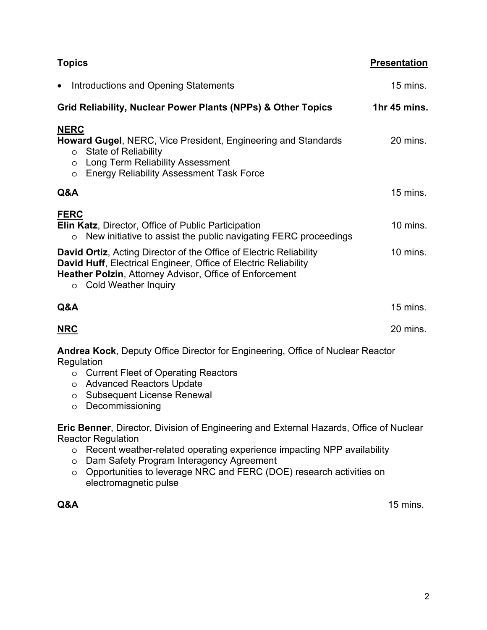| <b>Topics</b>                                                                                                                                                                                                                                                   | <b>Presentation</b> |
|-----------------------------------------------------------------------------------------------------------------------------------------------------------------------------------------------------------------------------------------------------------------|---------------------|
| Introductions and Opening Statements<br>$\bullet$                                                                                                                                                                                                               | 15 mins.            |
| Grid Reliability, Nuclear Power Plants (NPPs) & Other Topics                                                                                                                                                                                                    | 1hr 45 mins.        |
| <b>NERC</b><br>Howard Gugel, NERC, Vice President, Engineering and Standards<br><b>State of Reliability</b><br>O<br><b>Long Term Reliability Assessment</b><br>$\circ$<br><b>Energy Reliability Assessment Task Force</b><br>$\circ$                            | 20 mins.            |
| Q&A                                                                                                                                                                                                                                                             | 15 mins.            |
| <b>FERC</b><br><b>Elin Katz, Director, Office of Public Participation</b><br>New initiative to assist the public navigating FERC proceedings<br>$\circ$                                                                                                         | 10 mins.            |
| <b>David Ortiz, Acting Director of the Office of Electric Reliability</b><br><b>David Huff, Electrical Engineer, Office of Electric Reliability</b><br><b>Heather Polzin, Attorney Advisor, Office of Enforcement</b><br><b>Cold Weather Inquiry</b><br>$\circ$ | 10 mins.            |
| Q&A                                                                                                                                                                                                                                                             | 15 mins.            |
| <b>NRC</b>                                                                                                                                                                                                                                                      | 20 mins.            |
| <b>Andrea Kock, Deputy Office Director for Engineering, Office of Nuclear Reactor</b><br>Regulation<br><b>Current Fleet of Operating Reactors</b><br>$\circ$<br><b>Advanced Reactors Update</b><br>$\circ$                                                      |                     |

- o Subsequent License Renewal
- o Decommissioning

**Eric Benner**, Director, Division of Engineering and External Hazards, Office of Nuclear Reactor Regulation

- o Recent weather-related operating experience impacting NPP availability
- o Dam Safety Program Interagency Agreement
- o Opportunities to leverage NRC and FERC (DOE) research activities on electromagnetic pulse

**Q&A**15 mins.